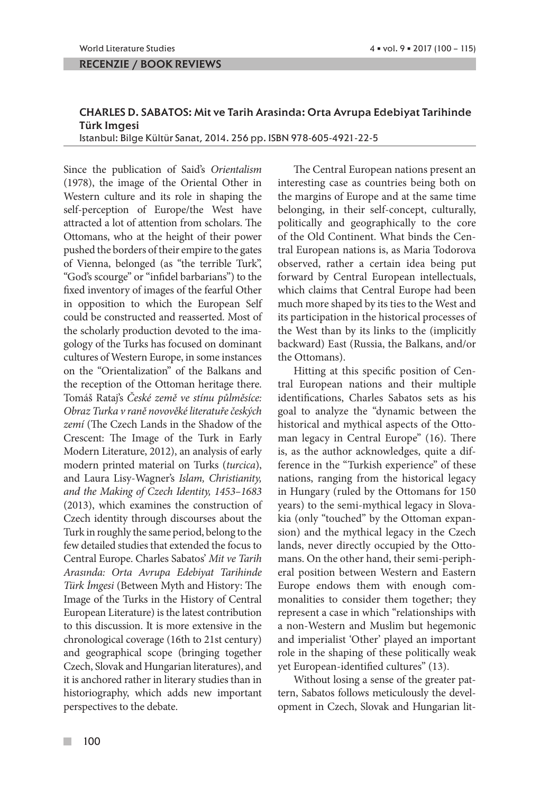RECENZIE / BOOK REVIEWS

## CHARLES D. SABATOS: Mit ve Tarih Arasinda: Orta Avrupa Edebiyat Tarihinde Türk Imgesi

Istanbul: Bilge Kültür Sanat, 2014. 256 pp. ISBN 978-605-4921-22-5

Since the publication of Said's *Orientalism*  (1978), the image of the Oriental Other in Western culture and its role in shaping the self-perception of Europe/the West have attracted a lot of attention from scholars. The Ottomans, who at the height of their power pushed the borders of their empire to the gates of Vienna, belonged (as "the terrible Turk", "God's scourge" or "infidel barbarians") to the fixed inventory of images of the fearful Other in opposition to which the European Self could be constructed and reasserted. Most of the scholarly production devoted to the imagology of the Turks has focused on dominant cultures of Western Europe, in some instances on the "Orientalization" of the Balkans and the reception of the Ottoman heritage there. Tomáš Rataj's *České země ve stínu půlměsíce: Obraz Turka v raně novověké literatuře českých zemí* (The Czech Lands in the Shadow of the Crescent: The Image of the Turk in Early Modern Literature, 2012), an analysis of early modern printed material on Turks (*turcica*), and Laura Lisy-Wagner's *Islam, Christianity, and the Making of Czech Identity, 1453–1683*  (2013), which examines the construction of Czech identity through discourses about the Turk in roughly the same period, belong to the few detailed studies that extended the focus to Central Europe. Charles Sabatos' *Mit ve Tarih Arasında: Orta Avrupa Edebiyat Tarihinde Türk İmgesi* (Between Myth and History: The Image of the Turks in the History of Central European Literature) is the latest contribution to this discussion. It is more extensive in the chronological coverage (16th to 21st century) and geographical scope (bringing together Czech, Slovak and Hungarian literatures), and it is anchored rather in literary studies than in historiography, which adds new important perspectives to the debate.

The Central European nations present an interesting case as countries being both on the margins of Europe and at the same time belonging, in their self-concept, culturally, politically and geographically to the core of the Old Continent. What binds the Central European nations is, as Maria Todorova observed, rather a certain idea being put forward by Central European intellectuals, which claims that Central Europe had been much more shaped by its ties to the West and its participation in the historical processes of the West than by its links to the (implicitly backward) East (Russia, the Balkans, and/or the Ottomans).

Hitting at this specific position of Central European nations and their multiple identifications, Charles Sabatos sets as his goal to analyze the "dynamic between the historical and mythical aspects of the Ottoman legacy in Central Europe" (16). There is, as the author acknowledges, quite a difference in the "Turkish experience" of these nations, ranging from the historical legacy in Hungary (ruled by the Ottomans for 150 years) to the semi-mythical legacy in Slovakia (only "touched" by the Ottoman expansion) and the mythical legacy in the Czech lands, never directly occupied by the Ottomans. On the other hand, their semi-peripheral position between Western and Eastern Europe endows them with enough commonalities to consider them together; they represent a case in which "relationships with a non-Western and Muslim but hegemonic and imperialist 'Other' played an important role in the shaping of these politically weak yet European-identified cultures" (13).

Without losing a sense of the greater pattern, Sabatos follows meticulously the development in Czech, Slovak and Hungarian lit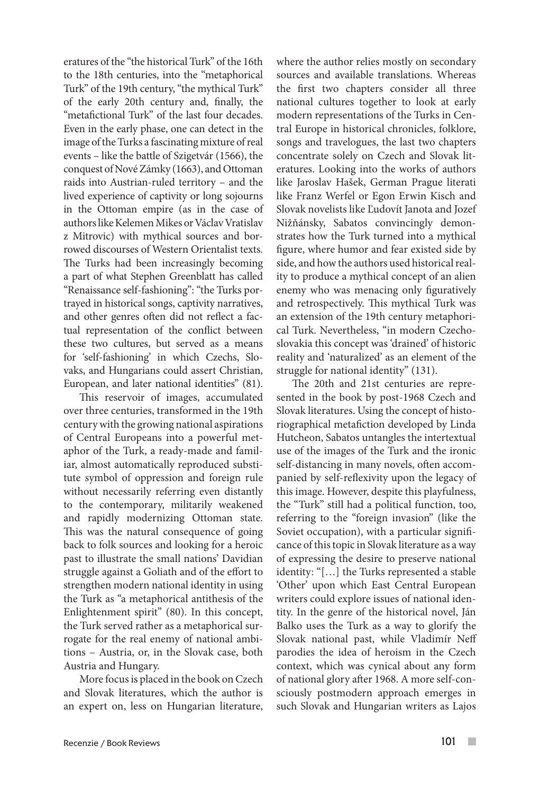eratures of the "the historical Turk" of the 16th to the 18th centuries, into the "metaphorical Turk" of the 19th century, "the mythical Turk" of the early 20th century and, finally, the "metafictional Turk" of the last four decades. Even in the early phase, one can detect in the image of the Turks a fascinating mixture of real events – like the battle of Szigetvár (1566), the conquest of Nové Zámky (1663), and Ottoman raids into Austrian-ruled territory – and the lived experience of captivity or long sojourns in the Ottoman empire (as in the case of authors like Kelemen Mikes or Václav Vratislav z Mitrovic) with mythical sources and borrowed discourses of Western Orientalist texts. The Turks had been increasingly becoming a part of what Stephen Greenblatt has called "Renaissance self-fashioning": "the Turks portrayed in historical songs, captivity narratives, and other genres often did not reflect a factual representation of the conflict between these two cultures, but served as a means for 'self-fashioning' in which Czechs, Slovaks, and Hungarians could assert Christian, European, and later national identities" (81).

This reservoir of images, accumulated over three centuries, transformed in the 19th century with the growing national aspirations of Central Europeans into a powerful metaphor of the Turk, a ready-made and familiar, almost automatically reproduced substitute symbol of oppression and foreign rule without necessarily referring even distantly to the contemporary, militarily weakened and rapidly modernizing Ottoman state. This was the natural consequence of going back to folk sources and looking for a heroic past to illustrate the small nations' Davidian struggle against a Goliath and of the effort to strengthen modern national identity in using the Turk as "a metaphorical antithesis of the Enlightenment spirit" (80). In this concept, the Turk served rather as a metaphorical surrogate for the real enemy of national ambitions – Austria, or, in the Slovak case, both Austria and Hungary.

More focus is placed in the book on Czech and Slovak literatures, which the author is an expert on, less on Hungarian literature,

where the author relies mostly on secondary sources and available translations. Whereas the first two chapters consider all three national cultures together to look at early modern representations of the Turks in Central Europe in historical chronicles, folklore, songs and travelogues, the last two chapters concentrate solely on Czech and Slovak literatures. Looking into the works of authors like Jaroslav Hašek, German Prague literati like Franz Werfel or Egon Erwin Kisch and Slovak novelists like Ľudovít Janota and Jozef Nižňánsky, Sabatos convincingly demonstrates how the Turk turned into a mythical figure, where humor and fear existed side by side, and how the authors used historical reality to produce a mythical concept of an alien enemy who was menacing only figuratively and retrospectively. This mythical Turk was an extension of the 19th century metaphorical Turk. Nevertheless, "in modern Czechoslovakia this concept was 'drained' of historic reality and 'naturalized' as an element of the struggle for national identity" (131).

The 20th and 21st centuries are represented in the book by post-1968 Czech and Slovak literatures. Using the concept of historiographical metafiction developed by Linda Hutcheon, Sabatos untangles the intertextual use of the images of the Turk and the ironic self-distancing in many novels, often accompanied by self-reflexivity upon the legacy of this image. However, despite this playfulness, the "Turk" still had a political function, too, referring to the "foreign invasion" (like the Soviet occupation), with a particular significance of this topic in Slovak literature as a way of expressing the desire to preserve national identity: "[…] the Turks represented a stable 'Other' upon which East Central European writers could explore issues of national identity. In the genre of the historical novel, Ján Balko uses the Turk as a way to glorify the Slovak national past, while Vladimír Neff parodies the idea of heroism in the Czech context, which was cynical about any form of national glory after 1968. A more self-consciously postmodern approach emerges in such Slovak and Hungarian writers as Lajos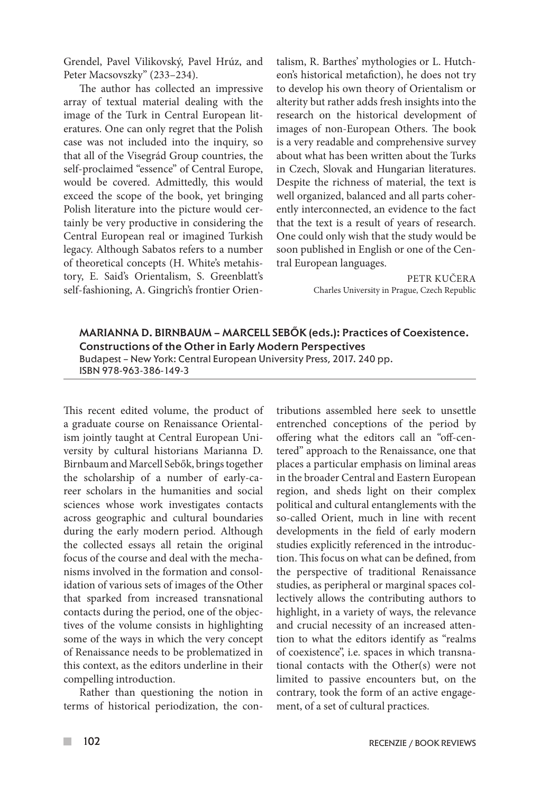Grendel, Pavel Vilikovský, Pavel Hrúz, and Peter Macsovszky" (233–234).

The author has collected an impressive array of textual material dealing with the image of the Turk in Central European literatures. One can only regret that the Polish case was not included into the inquiry, so that all of the Visegrád Group countries, the self-proclaimed "essence" of Central Europe, would be covered. Admittedly, this would exceed the scope of the book, yet bringing Polish literature into the picture would certainly be very productive in considering the Central European real or imagined Turkish legacy. Although Sabatos refers to a number of theoretical concepts (H. White's metahistory, E. Said's Orientalism, S. Greenblatt's self-fashioning, A. Gingrich's frontier Orientalism, R. Barthes' mythologies or L. Hutcheon's historical metafiction), he does not try to develop his own theory of Orientalism or alterity but rather adds fresh insights into the research on the historical development of images of non-European Others. The book is a very readable and comprehensive survey about what has been written about the Turks in Czech, Slovak and Hungarian literatures. Despite the richness of material, the text is well organized, balanced and all parts coherently interconnected, an evidence to the fact that the text is a result of years of research. One could only wish that the study would be soon published in English or one of the Central European languages.

> PETR KUČERA Charles University in Prague, Czech Republic

MARIANNA D. BIRNBAUM – MARCELL SEBŐK (eds.): Practices of Coexistence. Constructions of the Other in Early Modern Perspectives Budapest – New York: Central European University Press, 2017. 240 pp. ISBN 978-963-386-149-3

This recent edited volume, the product of a graduate course on Renaissance Orientalism jointly taught at Central European University by cultural historians Marianna D. Birnbaum and Marcell Sebők, brings together the scholarship of a number of early-career scholars in the humanities and social sciences whose work investigates contacts across geographic and cultural boundaries during the early modern period. Although the collected essays all retain the original focus of the course and deal with the mechanisms involved in the formation and consolidation of various sets of images of the Other that sparked from increased transnational contacts during the period, one of the objectives of the volume consists in highlighting some of the ways in which the very concept of Renaissance needs to be problematized in this context, as the editors underline in their compelling introduction.

Rather than questioning the notion in terms of historical periodization, the contributions assembled here seek to unsettle entrenched conceptions of the period by offering what the editors call an "off-centered" approach to the Renaissance, one that places a particular emphasis on liminal areas in the broader Central and Eastern European region, and sheds light on their complex political and cultural entanglements with the so-called Orient, much in line with recent developments in the field of early modern studies explicitly referenced in the introduction. This focus on what can be defined, from the perspective of traditional Renaissance studies, as peripheral or marginal spaces collectively allows the contributing authors to highlight, in a variety of ways, the relevance and crucial necessity of an increased attention to what the editors identify as "realms of coexistence", i.e. spaces in which transnational contacts with the Other(s) were not limited to passive encounters but, on the contrary, took the form of an active engagement, of a set of cultural practices.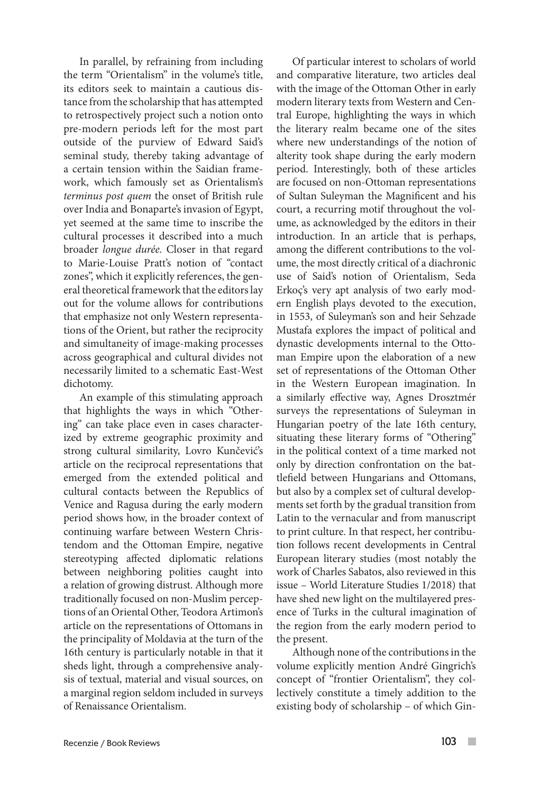In parallel, by refraining from including the term "Orientalism" in the volume's title, its editors seek to maintain a cautious distance from the scholarship that has attempted to retrospectively project such a notion onto pre-modern periods left for the most part outside of the purview of Edward Said's seminal study, thereby taking advantage of a certain tension within the Saidian framework, which famously set as Orientalism's *terminus post quem* the onset of British rule over India and Bonaparte's invasion of Egypt, yet seemed at the same time to inscribe the cultural processes it described into a much broader *longue durée.* Closer in that regard to Marie-Louise Pratt's notion of "contact zones", which it explicitly references, the general theoretical framework that the editors lay out for the volume allows for contributions that emphasize not only Western representations of the Orient, but rather the reciprocity and simultaneity of image-making processes across geographical and cultural divides not necessarily limited to a schematic East-West dichotomy.

An example of this stimulating approach that highlights the ways in which "Othering" can take place even in cases characterized by extreme geographic proximity and strong cultural similarity, Lovro Kunčević's article on the reciprocal representations that emerged from the extended political and cultural contacts between the Republics of Venice and Ragusa during the early modern period shows how, in the broader context of continuing warfare between Western Christendom and the Ottoman Empire, negative stereotyping affected diplomatic relations between neighboring polities caught into a relation of growing distrust. Although more traditionally focused on non-Muslim perceptions of an Oriental Other, Teodora Artimon's article on the representations of Ottomans in the principality of Moldavia at the turn of the 16th century is particularly notable in that it sheds light, through a comprehensive analysis of textual, material and visual sources, on a marginal region seldom included in surveys of Renaissance Orientalism.

Of particular interest to scholars of world and comparative literature, two articles deal with the image of the Ottoman Other in early modern literary texts from Western and Central Europe, highlighting the ways in which the literary realm became one of the sites where new understandings of the notion of alterity took shape during the early modern period. Interestingly, both of these articles are focused on non-Ottoman representations of Sultan Suleyman the Magnificent and his court, a recurring motif throughout the volume, as acknowledged by the editors in their introduction. In an article that is perhaps, among the different contributions to the volume, the most directly critical of a diachronic use of Said's notion of Orientalism, Seda Erkoç's very apt analysis of two early modern English plays devoted to the execution, in 1553, of Suleyman's son and heir Sehzade Mustafa explores the impact of political and dynastic developments internal to the Ottoman Empire upon the elaboration of a new set of representations of the Ottoman Other in the Western European imagination. In a similarly effective way, Agnes Drosztmér surveys the representations of Suleyman in Hungarian poetry of the late 16th century, situating these literary forms of "Othering" in the political context of a time marked not only by direction confrontation on the battlefield between Hungarians and Ottomans, but also by a complex set of cultural developments set forth by the gradual transition from Latin to the vernacular and from manuscript to print culture. In that respect, her contribution follows recent developments in Central European literary studies (most notably the work of Charles Sabatos, also reviewed in this issue – World Literature Studies 1/2018) that have shed new light on the multilayered presence of Turks in the cultural imagination of the region from the early modern period to the present.

Although none of the contributions in the volume explicitly mention André Gingrich's concept of "frontier Orientalism", they collectively constitute a timely addition to the existing body of scholarship – of which Gin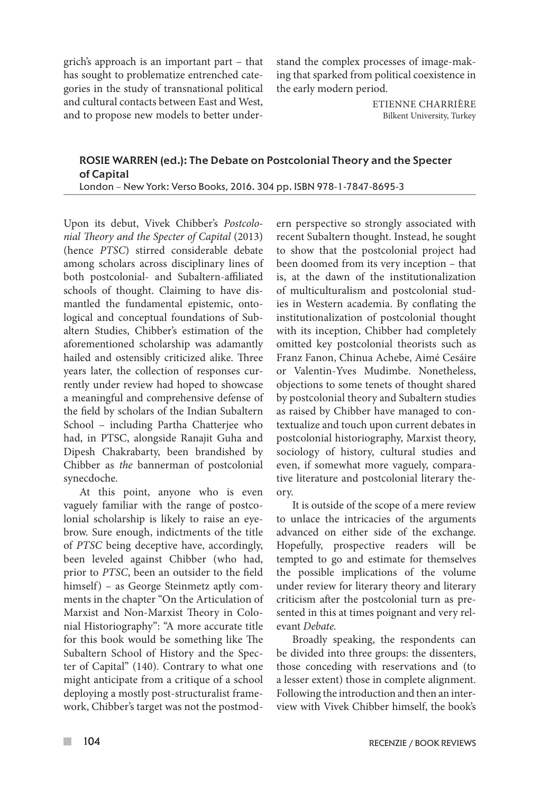grich's approach is an important part – that has sought to problematize entrenched categories in the study of transnational political and cultural contacts between East and West, and to propose new models to better understand the complex processes of image-making that sparked from political coexistence in the early modern period.

> ETIENNE CHARRIÈRE Bilkent University, Turkey

## ROSIE WARREN (ed.): The Debate on Postcolonial Theory and the Specter of Capital London – New York: Verso Books, 2016. 304 pp. ISBN 978-1-7847-8695-3

Upon its debut, Vivek Chibber's *Postcolonial Theory and the Specter of Capital* (2013) (hence *PTSC*) stirred considerable debate among scholars across disciplinary lines of both postcolonial- and Subaltern-affiliated schools of thought. Claiming to have dismantled the fundamental epistemic, ontological and conceptual foundations of Subaltern Studies, Chibber's estimation of the aforementioned scholarship was adamantly hailed and ostensibly criticized alike. Three years later, the collection of responses currently under review had hoped to showcase a meaningful and comprehensive defense of the field by scholars of the Indian Subaltern School – including Partha Chatterjee who had, in PTSC, alongside Ranajit Guha and Dipesh Chakrabarty, been brandished by Chibber as *the* bannerman of postcolonial synecdoche.

At this point, anyone who is even vaguely familiar with the range of postcolonial scholarship is likely to raise an eyebrow. Sure enough, indictments of the title of *PTSC* being deceptive have, accordingly, been leveled against Chibber (who had, prior to *PTSC*, been an outsider to the field himself) – as George Steinmetz aptly comments in the chapter "On the Articulation of Marxist and Non-Marxist Theory in Colonial Historiography": "A more accurate title for this book would be something like The Subaltern School of History and the Specter of Capital" (140). Contrary to what one might anticipate from a critique of a school deploying a mostly post-structuralist framework, Chibber's target was not the postmod-

ern perspective so strongly associated with recent Subaltern thought. Instead, he sought to show that the postcolonial project had been doomed from its very inception – that is, at the dawn of the institutionalization of multiculturalism and postcolonial studies in Western academia. By conflating the institutionalization of postcolonial thought with its inception, Chibber had completely omitted key postcolonial theorists such as Franz Fanon, Chinua Achebe, Aimé Cesáire or Valentin-Yves Mudimbe. Nonetheless, objections to some tenets of thought shared by postcolonial theory and Subaltern studies as raised by Chibber have managed to contextualize and touch upon current debates in postcolonial historiography, Marxist theory, sociology of history, cultural studies and even, if somewhat more vaguely, comparative literature and postcolonial literary theory.

It is outside of the scope of a mere review to unlace the intricacies of the arguments advanced on either side of the exchange. Hopefully, prospective readers will be tempted to go and estimate for themselves the possible implications of the volume under review for literary theory and literary criticism after the postcolonial turn as presented in this at times poignant and very relevant *Debate.*

Broadly speaking, the respondents can be divided into three groups: the dissenters, those conceding with reservations and (to a lesser extent) those in complete alignment. Following the introduction and then an interview with Vivek Chibber himself, the book's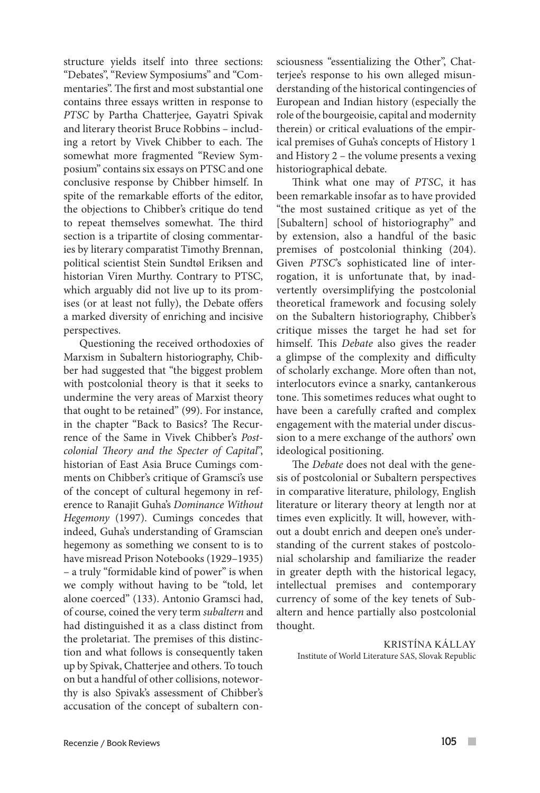structure yields itself into three sections: "Debates", "Review Symposiums" and "Commentaries". The first and most substantial one contains three essays written in response to *PTSC* by Partha Chatterjee, Gayatri Spivak and literary theorist Bruce Robbins – including a retort by Vivek Chibber to each. The somewhat more fragmented "Review Symposium" contains six essays on PTSC and one conclusive response by Chibber himself. In spite of the remarkable efforts of the editor, the objections to Chibber's critique do tend to repeat themselves somewhat. The third section is a tripartite of closing commentaries by literary comparatist Timothy Brennan, political scientist Stein Sundtøl Eriksen and historian Viren Murthy. Contrary to PTSC, which arguably did not live up to its promises (or at least not fully), the Debate offers a marked diversity of enriching and incisive perspectives.

Questioning the received orthodoxies of Marxism in Subaltern historiography, Chibber had suggested that "the biggest problem with postcolonial theory is that it seeks to undermine the very areas of Marxist theory that ought to be retained" (99). For instance, in the chapter "Back to Basics? The Recurrence of the Same in Vivek Chibber's *Postcolonial Theory and the Specter of Capital*", historian of East Asia Bruce Cumings comments on Chibber's critique of Gramsci's use of the concept of cultural hegemony in reference to Ranajit Guha's *Dominance Without Hegemony* (1997). Cumings concedes that indeed, Guha's understanding of Gramscian hegemony as something we consent to is to have misread Prison Notebooks (1929–1935) – a truly "formidable kind of power" is when we comply without having to be "told, let alone coerced" (133). Antonio Gramsci had, of course, coined the very term *subaltern* and had distinguished it as a class distinct from the proletariat. The premises of this distinction and what follows is consequently taken up by Spivak, Chatterjee and others. To touch on but a handful of other collisions, noteworthy is also Spivak's assessment of Chibber's accusation of the concept of subaltern consciousness "essentializing the Other", Chatterjee's response to his own alleged misunderstanding of the historical contingencies of European and Indian history (especially the role of the bourgeoisie, capital and modernity therein) or critical evaluations of the empirical premises of Guha's concepts of History 1 and History 2 – the volume presents a vexing historiographical debate.

Think what one may of *PTSC*, it has been remarkable insofar as to have provided "the most sustained critique as yet of the [Subaltern] school of historiography" and by extension, also a handful of the basic premises of postcolonial thinking (204). Given *PTSC*'s sophisticated line of interrogation, it is unfortunate that, by inadvertently oversimplifying the postcolonial theoretical framework and focusing solely on the Subaltern historiography, Chibber's critique misses the target he had set for himself. This *Debate* also gives the reader a glimpse of the complexity and difficulty of scholarly exchange. More often than not, interlocutors evince a snarky, cantankerous tone. This sometimes reduces what ought to have been a carefully crafted and complex engagement with the material under discussion to a mere exchange of the authors' own ideological positioning.

The *Debate* does not deal with the genesis of postcolonial or Subaltern perspectives in comparative literature, philology, English literature or literary theory at length nor at times even explicitly. It will, however, without a doubt enrich and deepen one's understanding of the current stakes of postcolonial scholarship and familiarize the reader in greater depth with the historical legacy, intellectual premises and contemporary currency of some of the key tenets of Subaltern and hence partially also postcolonial thought.

KRISTÍNA KÁLLAY Institute of World Literature SAS, Slovak Republic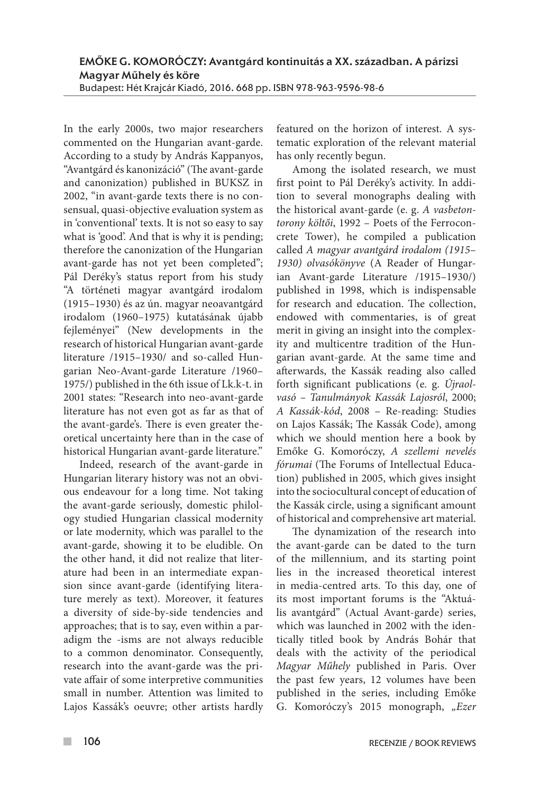In the early 2000s, two major researchers commented on the Hungarian avant-garde. According to a study by András Kappanyos, "Avantgárd és kanonizáció" (The avant-garde and canonization) published in BUKSZ in 2002, "in avant-garde texts there is no consensual, quasi-objective evaluation system as in 'conventional' texts. It is not so easy to say what is 'good'. And that is why it is pending; therefore the canonization of the Hungarian avant-garde has not yet been completed"; Pál Deréky's status report from his study "A történeti magyar avantgárd irodalom (1915–1930) és az ún. magyar neoavantgárd irodalom (1960–1975) kutatásának újabb fejleményei" (New developments in the research of historical Hungarian avant-garde literature /1915–1930/ and so-called Hungarian Neo-Avant-garde Literature /1960– 1975/) published in the 6th issue of Lk.k-t. in 2001 states: "Research into neo-avant-garde literature has not even got as far as that of the avant-garde's. There is even greater theoretical uncertainty here than in the case of historical Hungarian avant-garde literature."

Indeed, research of the avant-garde in Hungarian literary history was not an obvious endeavour for a long time. Not taking the avant-garde seriously, domestic philology studied Hungarian classical modernity or late modernity, which was parallel to the avant-garde, showing it to be eludible. On the other hand, it did not realize that literature had been in an intermediate expansion since avant-garde (identifying literature merely as text). Moreover, it features a diversity of side-by-side tendencies and approaches; that is to say, even within a paradigm the -isms are not always reducible to a common denominator. Consequently, research into the avant-garde was the private affair of some interpretive communities small in number. Attention was limited to Lajos Kassák's oeuvre; other artists hardly featured on the horizon of interest. A systematic exploration of the relevant material has only recently begun.

Among the isolated research, we must first point to Pál Deréky's activity. In addition to several monographs dealing with the historical avant-garde (e. g. *A vasbetontorony költői*, 1992 – Poets of the Ferroconcrete Tower), he compiled a publication called *A magyar avantgárd irodalom (1915*– *1930) olvasókönyve* (A Reader of Hungarian Avant-garde Literature /1915–1930/) published in 1998, which is indispensable for research and education. The collection, endowed with commentaries, is of great merit in giving an insight into the complexity and multicentre tradition of the Hungarian avant-garde. At the same time and afterwards, the Kassák reading also called forth significant publications (e. g. *Újraolvasó – Tanulmányok Kassák Lajosról*, 2000; *A Kassák-kód*, 2008 – Re-reading: Studies on Lajos Kassák; The Kassák Code), among which we should mention here a book by Emőke G. Komoróczy, *A szellemi nevelés fórumai* (The Forums of Intellectual Education) published in 2005, which gives insight into the sociocultural concept of education of the Kassák circle, using a significant amount of historical and comprehensive art material.

The dynamization of the research into the avant-garde can be dated to the turn of the millennium, and its starting point lies in the increased theoretical interest in media-centred arts. To this day, one of its most important forums is the "Aktuális avantgárd" (Actual Avant-garde) series, which was launched in 2002 with the identically titled book by András Bohár that deals with the activity of the periodical *Magyar Műhely* published in Paris. Over the past few years, 12 volumes have been published in the series, including Emőke G. Komoróczy's 2015 monograph, *"Ezer*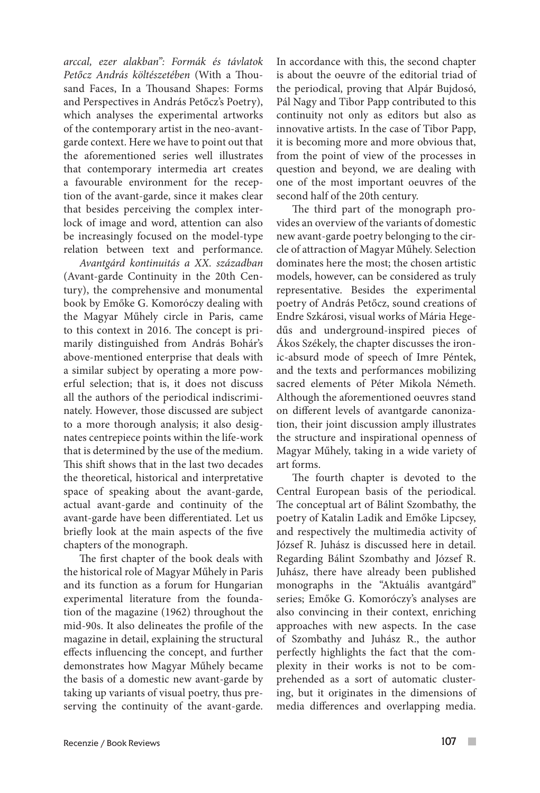*arccal, ezer alakban": Formák és távlatok Petőcz András költészetében* (With a Thousand Faces, In a Thousand Shapes: Forms and Perspectives in András Petőcz's Poetry), which analyses the experimental artworks of the contemporary artist in the neo-avantgarde context. Here we have to point out that the aforementioned series well illustrates that contemporary intermedia art creates a favourable environment for the reception of the avant-garde, since it makes clear that besides perceiving the complex interlock of image and word, attention can also be increasingly focused on the model-type relation between text and performance.

*Avantgárd kontinuitás a XX. században*  (Avant-garde Continuity in the 20th Century), the comprehensive and monumental book by Emőke G. Komoróczy dealing with the Magyar Műhely circle in Paris, came to this context in 2016. The concept is primarily distinguished from András Bohár's above-mentioned enterprise that deals with a similar subject by operating a more powerful selection; that is, it does not discuss all the authors of the periodical indiscriminately. However, those discussed are subject to a more thorough analysis; it also designates centrepiece points within the life-work that is determined by the use of the medium. This shift shows that in the last two decades the theoretical, historical and interpretative space of speaking about the avant-garde, actual avant-garde and continuity of the avant-garde have been differentiated. Let us briefly look at the main aspects of the five chapters of the monograph.

The first chapter of the book deals with the historical role of Magyar Műhely in Paris and its function as a forum for Hungarian experimental literature from the foundation of the magazine (1962) throughout the mid-90s. It also delineates the profile of the magazine in detail, explaining the structural effects influencing the concept, and further demonstrates how Magyar Műhely became the basis of a domestic new avant-garde by taking up variants of visual poetry, thus preserving the continuity of the avant-garde.

In accordance with this, the second chapter is about the oeuvre of the editorial triad of the periodical, proving that Alpár Bujdosó, Pál Nagy and Tibor Papp contributed to this continuity not only as editors but also as innovative artists. In the case of Tibor Papp, it is becoming more and more obvious that, from the point of view of the processes in question and beyond, we are dealing with one of the most important oeuvres of the second half of the 20th century.

The third part of the monograph provides an overview of the variants of domestic new avant-garde poetry belonging to the circle of attraction of Magyar Műhely. Selection dominates here the most; the chosen artistic models, however, can be considered as truly representative. Besides the experimental poetry of András Petőcz, sound creations of Endre Szkárosi, visual works of Mária Hegedűs and underground-inspired pieces of Ákos Székely, the chapter discusses the ironic-absurd mode of speech of Imre Péntek, and the texts and performances mobilizing sacred elements of Péter Mikola Németh. Although the aforementioned oeuvres stand on different levels of avantgarde canonization, their joint discussion amply illustrates the structure and inspirational openness of Magyar Műhely, taking in a wide variety of art forms.

The fourth chapter is devoted to the Central European basis of the periodical. The conceptual art of Bálint Szombathy, the poetry of Katalin Ladik and Emőke Lipcsey, and respectively the multimedia activity of József R. Juhász is discussed here in detail. Regarding Bálint Szombathy and József R. Juhász, there have already been published monographs in the "Aktuális avantgárd" series; Emőke G. Komoróczy's analyses are also convincing in their context, enriching approaches with new aspects. In the case of Szombathy and Juhász R., the author perfectly highlights the fact that the complexity in their works is not to be comprehended as a sort of automatic clustering, but it originates in the dimensions of media differences and overlapping media.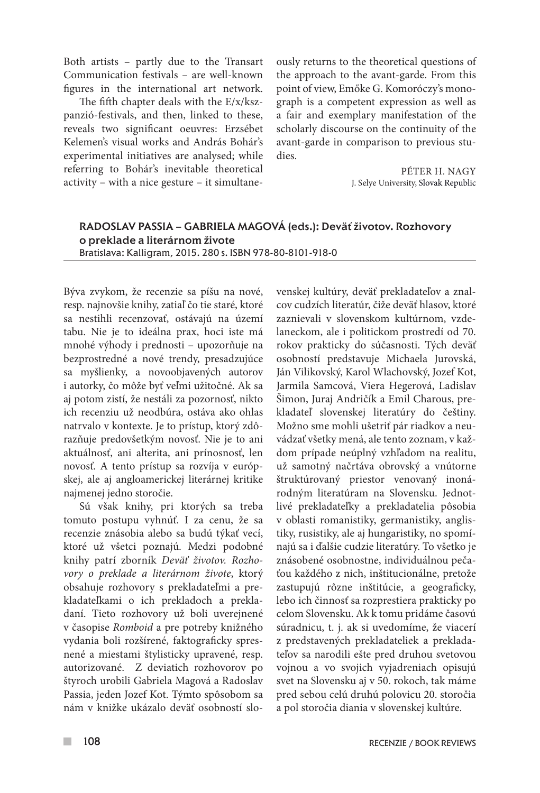Both artists – partly due to the Transart Communication festivals – are well-known figures in the international art network.

The fifth chapter deals with the E/x/kszpanzió-festivals, and then, linked to these, reveals two significant oeuvres: Erzsébet Kelemen's visual works and András Bohár's experimental initiatives are analysed; while referring to Bohár's inevitable theoretical activity – with a nice gesture – it simultaneously returns to the theoretical questions of the approach to the avant-garde. From this point of view, Emőke G. Komoróczy's monograph is a competent expression as well as a fair and exemplary manifestation of the scholarly discourse on the continuity of the avant-garde in comparison to previous studies.

> PÉTER H. NAGY J. Selye University, Slovak Republic

## RADOSLAV PASSIA – GABRIELA MAGOVÁ (eds.): Deväť životov. Rozhovory o preklade a literárnom živote Bratislava: Kalligram, 2015. 280 s. ISBN 978-80-8101-918-0

Býva zvykom, že recenzie sa píšu na nové, resp. najnovšie knihy, zatiaľ čo tie staré, ktoré sa nestihli recenzovať, ostávajú na území tabu. Nie je to ideálna prax, hoci iste má mnohé výhody i prednosti – upozorňuje na bezprostredné a nové trendy, presadzujúce sa myšlienky, a novoobjavených autorov i autorky, čo môže byť veľmi užitočné. Ak sa aj potom zistí, že nestáli za pozornosť, nikto ich recenziu už neodbúra, ostáva ako ohlas natrvalo v kontexte. Je to prístup, ktorý zdôrazňuje predovšetkým novosť. Nie je to ani aktuálnosť, ani alterita, ani prínosnosť, len novosť. A tento prístup sa rozvíja v európskej, ale aj angloamerickej literárnej kritike najmenej jedno storočie.

Sú však knihy, pri ktorých sa treba tomuto postupu vyhnúť. I za cenu, že sa recenzie znásobia alebo sa budú týkať vecí, ktoré už všetci poznajú. Medzi podobné knihy patrí zborník *Deväť životov. Rozhovory o preklade a literárnom živote*, ktorý obsahuje rozhovory s prekladateľmi a prekladateľkami o ich prekladoch a prekladaní. Tieto rozhovory už boli uverejnené v časopise *Romboid* a pre potreby knižného vydania boli rozšírené, faktograficky spresnené a miestami štylisticky upravené, resp. autorizované. Z deviatich rozhovorov po štyroch urobili Gabriela Magová a Radoslav Passia, jeden Jozef Kot. Týmto spôsobom sa nám v knižke ukázalo deväť osobností slovenskej kultúry, deväť prekladateľov a znalcov cudzích literatúr, čiže deväť hlasov, ktoré zaznievali v slovenskom kultúrnom, vzdelaneckom, ale i politickom prostredí od 70. rokov prakticky do súčasnosti. Tých deväť osobností predstavuje Michaela Jurovská, Ján Vilikovský, Karol Wlachovský, Jozef Kot, Jarmila Samcová, Viera Hegerová, Ladislav Šimon, Juraj Andričík a Emil Charous, prekladateľ slovenskej literatúry do češtiny. Možno sme mohli ušetriť pár riadkov a neuvádzať všetky mená, ale tento zoznam, v každom prípade neúplný vzhľadom na realitu, už samotný načrtáva obrovský a vnútorne štruktúrovaný priestor venovaný inonárodným literatúram na Slovensku. Jednotlivé prekladateľky a prekladatelia pôsobia v oblasti romanistiky, germanistiky, anglistiky, rusistiky, ale aj hungaristiky, no spomínajú sa i ďalšie cudzie literatúry. To všetko je znásobené osobnostne, individuálnou pečaťou každého z nich, inštitucionálne, pretože zastupujú rôzne inštitúcie, a geograficky, lebo ich činnosť sa rozprestiera prakticky po celom Slovensku. Ak k tomu pridáme časovú súradnicu, t. j. ak si uvedomíme, že viacerí z predstavených prekladateliek a prekladateľov sa narodili ešte pred druhou svetovou vojnou a vo svojich vyjadreniach opisujú svet na Slovensku aj v 50. rokoch, tak máme pred sebou celú druhú polovicu 20. storočia a pol storočia diania v slovenskej kultúre.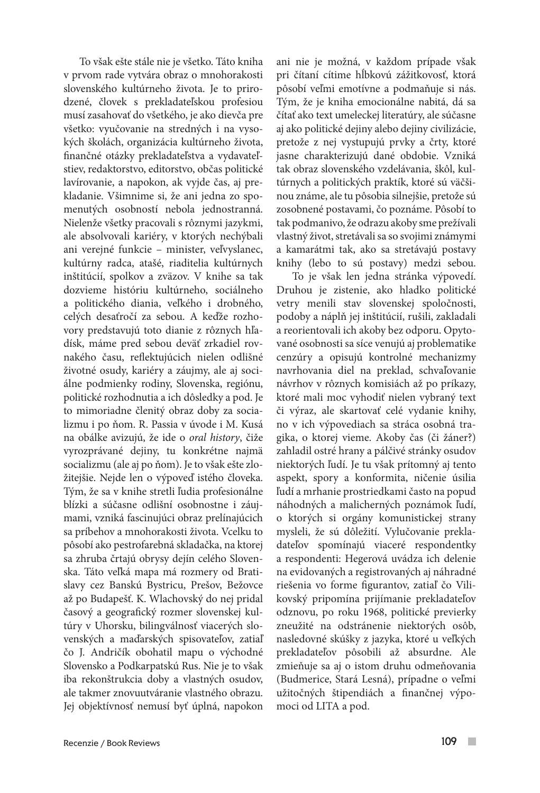To však ešte stále nie je všetko. Táto kniha v prvom rade vytvára obraz o mnohorakosti slovenského kultúrneho života. Je to prirodzené, človek s prekladateľskou profesiou musí zasahovať do všetkého, je ako dievča pre všetko: vyučovanie na stredných i na vysokých školách, organizácia kultúrneho života, finančné otázky prekladateľstva a vydavateľstiev, redaktorstvo, editorstvo, občas politické lavírovanie, a napokon, ak vyjde čas, aj prekladanie. Všimnime si, že ani jedna zo spomenutých osobností nebola jednostranná. Nielenže všetky pracovali s rôznymi jazykmi, ale absolvovali kariéry, v ktorých nechýbali ani verejné funkcie – minister, veľvyslanec, kultúrny radca, atašé, riaditelia kultúrnych inštitúcií, spolkov a zväzov. V knihe sa tak dozvieme históriu kultúrneho, sociálneho a politického diania, veľkého i drobného, celých desaťročí za sebou. A keďže rozhovory predstavujú toto dianie z rôznych hľadísk, máme pred sebou deväť zrkadiel rovnakého času, reflektujúcich nielen odlišné životné osudy, kariéry a záujmy, ale aj sociálne podmienky rodiny, Slovenska, regiónu, politické rozhodnutia a ich dôsledky a pod. Je to mimoriadne členitý obraz doby za socializmu i po ňom. R. Passia v úvode i M. Kusá na obálke avizujú, že ide o *oral history*, čiže vyrozprávané dejiny, tu konkrétne najmä socializmu (ale aj po ňom). Je to však ešte zložitejšie. Nejde len o výpoveď istého človeka. Tým, že sa v knihe stretli ľudia profesionálne blízki a súčasne odlišní osobnostne i záujmami, vzniká fascinujúci obraz prelínajúcich sa príbehov a mnohorakosti života. Vcelku to pôsobí ako pestrofarebná skladačka, na ktorej sa zhruba črtajú obrysy dejín celého Slovenska. Táto veľká mapa má rozmery od Bratislavy cez Banskú Bystricu, Prešov, Bežovce až po Budapešť. K. Wlachovský do nej pridal časový a geografický rozmer slovenskej kultúry v Uhorsku, bilingválnosť viacerých slovenských a maďarských spisovateľov, zatiaľ čo J. Andričík obohatil mapu o východné Slovensko a Podkarpatskú Rus. Nie je to však iba rekonštrukcia doby a vlastných osudov, ale takmer znovuutváranie vlastného obrazu. Jej objektívnosť nemusí byť úplná, napokon

ani nie je možná, v každom prípade však pri čítaní cítime hĺbkovú zážitkovosť, ktorá pôsobí veľmi emotívne a podmaňuje si nás. Tým, že je kniha emocionálne nabitá, dá sa čítať ako text umeleckej literatúry, ale súčasne aj ako politické dejiny alebo dejiny civilizácie, pretože z nej vystupujú prvky a črty, ktoré jasne charakterizujú dané obdobie. Vzniká tak obraz slovenského vzdelávania, škôl, kultúrnych a politických praktík, ktoré sú väčšinou známe, ale tu pôsobia silnejšie, pretože sú zosobnené postavami, čo poznáme. Pôsobí to tak podmanivo, že odrazu akoby sme prežívali vlastný život, stretávali sa so svojimi známymi a kamarátmi tak, ako sa stretávajú postavy knihy (lebo to sú postavy) medzi sebou.

To je však len jedna stránka výpovedí. Druhou je zistenie, ako hladko politické vetry menili stav slovenskej spoločnosti, podoby a náplň jej inštitúcií, rušili, zakladali a reorientovali ich akoby bez odporu. Opytované osobnosti sa síce venujú aj problematike cenzúry a opisujú kontrolné mechanizmy navrhovania diel na preklad, schvaľovanie návrhov v rôznych komisiách až po príkazy, ktoré mali moc vyhodiť nielen vybraný text či výraz, ale skartovať celé vydanie knihy, no v ich výpovediach sa stráca osobná tragika, o ktorej vieme. Akoby čas (či žáner?) zahladil ostré hrany a pálčivé stránky osudov niektorých ľudí. Je tu však prítomný aj tento aspekt, spory a konformita, ničenie úsilia ľudí a mrhanie prostriedkami často na popud náhodných a malicherných poznámok ľudí, o ktorých si orgány komunistickej strany mysleli, že sú dôležití. Vylučovanie prekladateľov spomínajú viaceré respondentky a respondenti: Hegerová uvádza ich delenie na evidovaných a registrovaných aj náhradné riešenia vo forme figurantov, zatiaľ čo Vilikovský pripomína prijímanie prekladateľov odznovu, po roku 1968, politické previerky zneužité na odstránenie niektorých osôb, nasledovné skúšky z jazyka, ktoré u veľkých prekladateľov pôsobili až absurdne. Ale zmieňuje sa aj o istom druhu odmeňovania (Budmerice, Stará Lesná), prípadne o veľmi užitočných štipendiách a finančnej výpomoci od LITA a pod.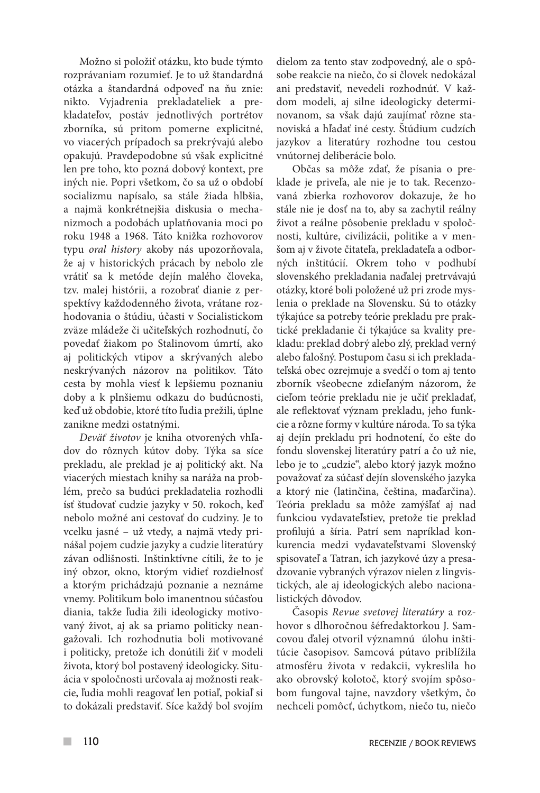Možno si položiť otázku, kto bude týmto rozprávaniam rozumieť. Je to už štandardná otázka a štandardná odpoveď na ňu znie: nikto. Vyjadrenia prekladateliek a prekladateľov, postáv jednotlivých portrétov zborníka, sú pritom pomerne explicitné, vo viacerých prípadoch sa prekrývajú alebo opakujú. Pravdepodobne sú však explicitné len pre toho, kto pozná dobový kontext, pre iných nie. Popri všetkom, čo sa už o období socializmu napísalo, sa stále žiada hlbšia, a najmä konkrétnejšia diskusia o mechanizmoch a podobách uplatňovania moci po roku 1948 a 1968. Táto knižka rozhovorov typu *oral history* akoby nás upozorňovala, že aj v historických prácach by nebolo zle vrátiť sa k metóde dejín malého človeka, tzv. malej histórii, a rozobrať dianie z perspektívy každodenného života, vrátane rozhodovania o štúdiu, účasti v Socialistickom zväze mládeže či učiteľských rozhodnutí, čo povedať žiakom po Stalinovom úmrtí, ako aj politických vtipov a skrývaných alebo neskrývaných názorov na politikov. Táto cesta by mohla viesť k lepšiemu poznaniu doby a k plnšiemu odkazu do budúcnosti, keď už obdobie, ktoré títo ľudia prežili, úplne zanikne medzi ostatnými.

*Deväť životov* je kniha otvorených vhľadov do rôznych kútov doby. Týka sa síce prekladu, ale preklad je aj politický akt. Na viacerých miestach knihy sa naráža na problém, prečo sa budúci prekladatelia rozhodli ísť študovať cudzie jazyky v 50. rokoch, keď nebolo možné ani cestovať do cudziny. Je to vcelku jasné – už vtedy, a najmä vtedy prinášal pojem cudzie jazyky a cudzie literatúry závan odlišnosti. Inštinktívne cítili, že to je iný obzor, okno, ktorým vidieť rozdielnosť a ktorým prichádzajú poznanie a neznáme vnemy. Politikum bolo imanentnou súčasťou diania, takže ľudia žili ideologicky motivovaný život, aj ak sa priamo politicky neangažovali. Ich rozhodnutia boli motivované i politicky, pretože ich donútili žiť v modeli života, ktorý bol postavený ideologicky. Situácia v spoločnosti určovala aj možnosti reakcie, ľudia mohli reagovať len potiaľ, pokiaľ si to dokázali predstaviť. Síce každý bol svojím

dielom za tento stav zodpovedný, ale o spôsobe reakcie na niečo, čo si človek nedokázal ani predstaviť, nevedeli rozhodnúť. V každom modeli, aj silne ideologicky determinovanom, sa však dajú zaujímať rôzne stanoviská a hľadať iné cesty. Štúdium cudzích jazykov a literatúry rozhodne tou cestou vnútornej deliberácie bolo.

Občas sa môže zdať, že písania o preklade je priveľa, ale nie je to tak. Recenzovaná zbierka rozhovorov dokazuje, že ho stále nie je dosť na to, aby sa zachytil reálny život a reálne pôsobenie prekladu v spoločnosti, kultúre, civilizácii, politike a v menšom aj v živote čitateľa, prekladateľa a odborných inštitúcií. Okrem toho v podhubí slovenského prekladania naďalej pretrvávajú otázky, ktoré boli položené už pri zrode myslenia o preklade na Slovensku. Sú to otázky týkajúce sa potreby teórie prekladu pre praktické prekladanie či týkajúce sa kvality prekladu: preklad dobrý alebo zlý, preklad verný alebo falošný. Postupom času si ich prekladateľská obec ozrejmuje a svedčí o tom aj tento zborník všeobecne zdieľaným názorom, že cieľom teórie prekladu nie je učiť prekladať, ale reflektovať význam prekladu, jeho funkcie a rôzne formy v kultúre národa. To sa týka aj dejín prekladu pri hodnotení, čo ešte do fondu slovenskej literatúry patrí a čo už nie, lebo je to "cudzie", alebo ktorý jazyk možno považovať za súčasť dejín slovenského jazyka a ktorý nie (latinčina, čeština, maďarčina). Teória prekladu sa môže zamýšľať aj nad funkciou vydavateľstiev, pretože tie preklad profilujú a šíria. Patrí sem napríklad konkurencia medzi vydavateľstvami Slovenský spisovateľ a Tatran, ich jazykové úzy a presadzovanie vybraných výrazov nielen z lingvistických, ale aj ideologických alebo nacionalistických dôvodov.

Časopis *Revue svetovej literatúry* a rozhovor s dlhoročnou šéfredaktorkou J. Samcovou ďalej otvoril významnú úlohu inštitúcie časopisov. Samcová pútavo priblížila atmosféru života v redakcii, vykreslila ho ako obrovský kolotoč, ktorý svojím spôsobom fungoval tajne, navzdory všetkým, čo nechceli pomôcť, úchytkom, niečo tu, niečo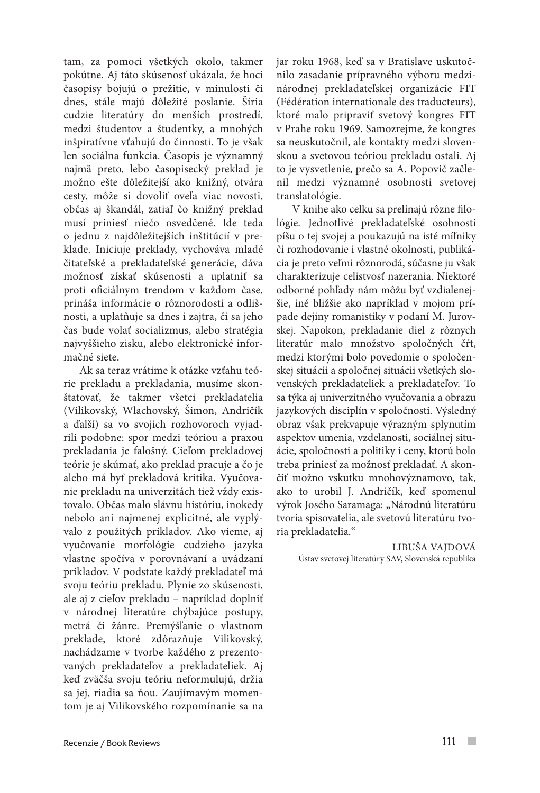tam, za pomoci všetkých okolo, takmer pokútne. Aj táto skúsenosť ukázala, že hoci časopisy bojujú o prežitie, v minulosti či dnes, stále majú dôležité poslanie. Šíria cudzie literatúry do menších prostredí, medzi študentov a študentky, a mnohých inšpiratívne vťahujú do činnosti. To je však len sociálna funkcia. Časopis je významný najmä preto, lebo časopisecký preklad je možno ešte dôležitejší ako knižný, otvára cesty, môže si dovoliť oveľa viac novosti, občas aj škandál, zatiaľ čo knižný preklad musí priniesť niečo osvedčené. Ide teda o jednu z najdôležitejších inštitúcií v preklade. Iniciuje preklady, vychováva mladé čitateľské a prekladateľské generácie, dáva možnosť získať skúsenosti a uplatniť sa proti oficiálnym trendom v každom čase, prináša informácie o rôznorodosti a odlišnosti, a uplatňuje sa dnes i zajtra, či sa jeho čas bude volať socializmus, alebo stratégia najvyššieho zisku, alebo elektronické informačné siete.

Ak sa teraz vrátime k otázke vzťahu teórie prekladu a prekladania, musíme skonštatovať, že takmer všetci prekladatelia (Vilikovský, Wlachovský, Šimon, Andričík a ďalší) sa vo svojich rozhovoroch vyjadrili podobne: spor medzi teóriou a praxou prekladania je falošný. Cieľom prekladovej teórie je skúmať, ako preklad pracuje a čo je alebo má byť prekladová kritika. Vyučovanie prekladu na univerzitách tiež vždy existovalo. Občas malo slávnu históriu, inokedy nebolo ani najmenej explicitné, ale vyplývalo z použitých príkladov. Ako vieme, aj vyučovanie morfológie cudzieho jazyka vlastne spočíva v porovnávaní a uvádzaní príkladov. V podstate každý prekladateľ má svoju teóriu prekladu. Plynie zo skúsenosti, ale aj z cieľov prekladu – napríklad doplniť v národnej literatúre chýbajúce postupy, metrá či žánre. Premýšľanie o vlastnom preklade, ktoré zdôrazňuje Vilikovský, nachádzame v tvorbe každého z prezentovaných prekladateľov a prekladateliek. Aj keď zväčša svoju teóriu neformulujú, držia sa jej, riadia sa ňou. Zaujímavým momentom je aj Vilikovského rozpomínanie sa na

jar roku 1968, keď sa v Bratislave uskutočnilo zasadanie prípravného výboru medzinárodnej prekladateľskej organizácie FIT (Fédération internationale des traducteurs), ktoré malo pripraviť svetový kongres FIT v Prahe roku 1969. Samozrejme, že kongres sa neuskutočnil, ale kontakty medzi slovenskou a svetovou teóriou prekladu ostali. Aj to je vysvetlenie, prečo sa A. Popovič začlenil medzi významné osobnosti svetovej translatológie.

V knihe ako celku sa prelínajú rôzne filológie. Jednotlivé prekladateľské osobnosti píšu o tej svojej a poukazujú na isté míľniky či rozhodovanie i vlastné okolnosti, publikácia je preto veľmi rôznorodá, súčasne ju však charakterizuje celistvosť nazerania. Niektoré odborné pohľady nám môžu byť vzdialenejšie, iné bližšie ako napríklad v mojom prípade dejiny romanistiky v podaní M. Jurovskej. Napokon, prekladanie diel z rôznych literatúr malo množstvo spoločných čŕt, medzi ktorými bolo povedomie o spoločenskej situácii a spoločnej situácii všetkých slovenských prekladateliek a prekladateľov. To sa týka aj univerzitného vyučovania a obrazu jazykových disciplín v spoločnosti. Výsledný obraz však prekvapuje výrazným splynutím aspektov umenia, vzdelanosti, sociálnej situácie, spoločnosti a politiky i ceny, ktorú bolo treba priniesť za možnosť prekladať. A skončiť možno vskutku mnohovýznamovo, tak, ako to urobil J. Andričík, keď spomenul výrok Josého Saramaga: "Národnú literatúru tvoria spisovatelia, ale svetovú literatúru tvoria prekladatelia."

> LIBUŠA VAJDOVÁ Ústav svetovej literatúry SAV, Slovenská republika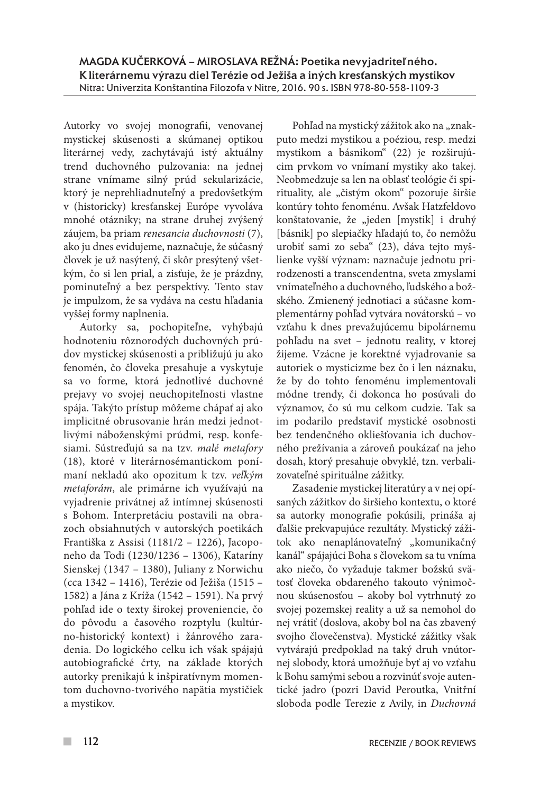Autorky vo svojej monografii, venovanej mystickej skúsenosti a skúmanej optikou literárnej vedy, zachytávajú istý aktuálny trend duchovného pulzovania: na jednej strane vnímame silný prúd sekularizácie, ktorý je neprehliadnuteľný a predovšetkým v (historicky) kresťanskej Európe vyvoláva mnohé otázniky; na strane druhej zvýšený záujem, ba priam *renesancia duchovnosti* (7), ako ju dnes evidujeme, naznačuje, že súčasný človek je už nasýtený, či skôr presýtený všetkým, čo si len prial, a zisťuje, že je prázdny, pominuteľný a bez perspektívy. Tento stav je impulzom, že sa vydáva na cestu hľadania vyššej formy naplnenia.

Autorky sa, pochopiteľne, vyhýbajú hodnoteniu rôznorodých duchovných prúdov mystickej skúsenosti a približujú ju ako fenomén, čo človeka presahuje a vyskytuje sa vo forme, ktorá jednotlivé duchovné prejavy vo svojej neuchopiteľnosti vlastne spája. Takýto prístup môžeme chápať aj ako implicitné obrusovanie hrán medzi jednotlivými náboženskými prúdmi, resp. konfesiami. Sústreďujú sa na tzv. *malé metafory*  (18), ktoré v literárnosémantickom ponímaní nekladú ako opozitum k tzv. *veľkým metaforám*, ale primárne ich využívajú na vyjadrenie privátnej až intímnej skúsenosti s Bohom. Interpretáciu postavili na obrazoch obsiahnutých v autorských poetikách Františka z Assisi (1181/2 – 1226), Jacoponeho da Todi (1230/1236 – 1306), Kataríny Sienskej (1347 – 1380), Juliany z Norwichu (cca 1342 – 1416), Terézie od Ježiša (1515 – 1582) a Jána z Kríža (1542 – 1591). Na prvý pohľad ide o texty širokej proveniencie, čo do pôvodu a časového rozptylu (kultúrno-historický kontext) i žánrového zaradenia. Do logického celku ich však spájajú autobiografické črty, na základe ktorých autorky prenikajú k inšpiratívnym momentom duchovno-tvorivého napätia mystičiek a mystikov.

Pohľad na mystický zážitok ako na "znakputo medzi mystikou a poéziou, resp. medzi mystikom a básnikom" (22) je rozširujúcim prvkom vo vnímaní mystiky ako takej. Neobmedzuje sa len na oblasť teológie či spirituality, ale "čistým okom" pozoruje širšie kontúry tohto fenoménu. Avšak Hatzfeldovo konštatovanie, že "jeden [mystik] i druhý [básnik] po slepiačky hľadajú to, čo nemôžu urobiť sami zo seba" (23), dáva tejto myšlienke vyšší význam: naznačuje jednotu prirodzenosti a transcendentna, sveta zmyslami vnímateľného a duchovného, ľudského a božského. Zmienený jednotiaci a súčasne komplementárny pohľad vytvára novátorskú – vo vzťahu k dnes prevažujúcemu bipolárnemu pohľadu na svet – jednotu reality, v ktorej žijeme. Vzácne je korektné vyjadrovanie sa autoriek o mysticizme bez čo i len náznaku, že by do tohto fenoménu implementovali módne trendy, či dokonca ho posúvali do významov, čo sú mu celkom cudzie. Tak sa im podarilo predstaviť mystické osobnosti bez tendenčného okliešťovania ich duchovného prežívania a zároveň poukázať na jeho dosah, ktorý presahuje obvyklé, tzn. verbalizovateľné spirituálne zážitky.

Zasadenie mystickej literatúry a v nej opísaných zážitkov do širšieho kontextu, o ktoré sa autorky monografie pokúsili, prináša aj ďalšie prekvapujúce rezultáty. Mystický zážitok ako nenaplánovateľný "komunikačný kanál" spájajúci Boha s človekom sa tu vníma ako niečo, čo vyžaduje takmer božskú svätosť človeka obdareného takouto výnimočnou skúsenosťou – akoby bol vytrhnutý zo svojej pozemskej reality a už sa nemohol do nej vrátiť (doslova, akoby bol na čas zbavený svojho človečenstva). Mystické zážitky však vytvárajú predpoklad na taký druh vnútornej slobody, ktorá umožňuje byť aj vo vzťahu k Bohu samými sebou a rozvinúť svoje autentické jadro (pozri David Peroutka, Vnitřní sloboda podle Terezie z Avily, in *Duchovná*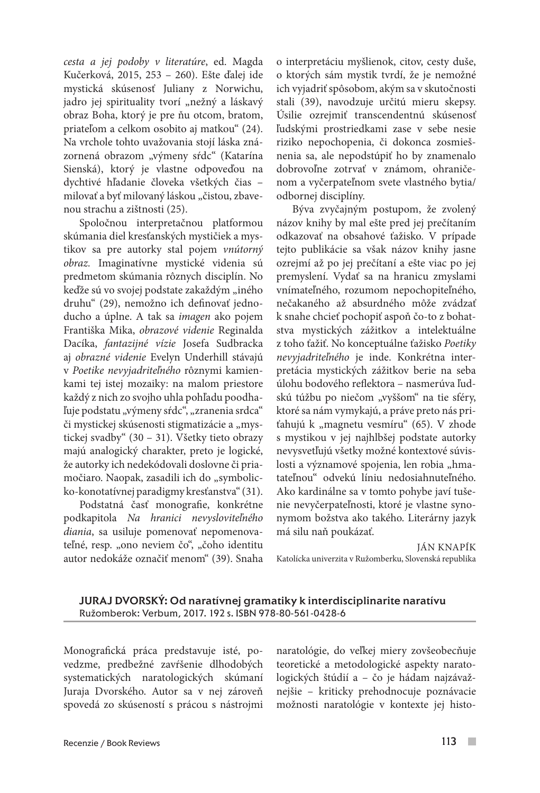*cesta a jej podoby v literatúre*, ed. Magda Kučerková, 2015, 253 – 260). Ešte ďalej ide mystická skúsenosť Juliany z Norwichu, jadro jej spirituality tvorí "nežný a láskavý obraz Boha, ktorý je pre ňu otcom, bratom, priateľom a celkom osobito aj matkou" (24). Na vrchole tohto uvažovania stojí láska znázornená obrazom "výmeny sŕdc" (Katarína Sienská), ktorý je vlastne odpoveďou na dychtivé hľadanie človeka všetkých čias – milovať a byť milovaný láskou "čistou, zbavenou strachu a zištnosti (25).

Spoločnou interpretačnou platformou skúmania diel kresťanských mystičiek a mystikov sa pre autorky stal pojem *vnútorný obraz.* Imaginatívne mystické videnia sú predmetom skúmania rôznych disciplín. No keďže sú vo svojej podstate zakaždým "iného druhu" (29), nemožno ich definovať jednoducho a úplne. A tak sa *imagen* ako pojem Františka Mika, *obrazové videnie* Reginalda Dacíka, *fantazijné vízie* Josefa Sudbracka aj *obrazné videnie* Evelyn Underhill stávajú v *Poetike nevyjadriteľného* rôznymi kamienkami tej istej mozaiky: na malom priestore každý z nich zo svojho uhla pohľadu poodhaľuje podstatu "výmeny sŕdc", "zranenia srdca" či mystickej skúsenosti stigmatizácie a "mystickej svadby" (30 – 31). Všetky tieto obrazy majú analogický charakter, preto je logické, že autorky ich nedekódovali doslovne či priamočiaro. Naopak, zasadili ich do "symbolicko-konotatívnej paradigmy kresťanstva" (31).

Podstatná časť monografie, konkrétne podkapitola *Na hranici nevysloviteľného diania*, sa usiluje pomenovať nepomenovateľné, resp. "ono neviem čo", "čoho identitu autor nedokáže označiť menom" (39). Snaha o interpretáciu myšlienok, citov, cesty duše, o ktorých sám mystik tvrdí, že je nemožné ich vyjadriť spôsobom, akým sa v skutočnosti stali (39), navodzuje určitú mieru skepsy. Úsilie ozrejmiť transcendentnú skúsenosť ľudskými prostriedkami zase v sebe nesie riziko nepochopenia, či dokonca zosmiešnenia sa, ale nepodstúpiť ho by znamenalo dobrovoľne zotrvať v známom, ohraničenom a vyčerpateľnom svete vlastného bytia/ odbornej disciplíny.

Býva zvyčajným postupom, že zvolený názov knihy by mal ešte pred jej prečítaním odkazovať na obsahové ťažisko. V prípade tejto publikácie sa však názov knihy jasne ozrejmí až po jej prečítaní a ešte viac po jej premyslení. Vydať sa na hranicu zmyslami vnímateľného, rozumom nepochopiteľného, nečakaného až absurdného môže zvádzať k snahe chcieť pochopiť aspoň čo-to z bohatstva mystických zážitkov a intelektuálne z toho ťažiť. No konceptuálne ťažisko *Poetiky nevyjadriteľného* je inde. Konkrétna interpretácia mystických zážitkov berie na seba úlohu bodového reflektora – nasmerúva ľudskú túžbu po niečom "vyššom" na tie sféry, ktoré sa nám vymykajú, a práve preto nás priťahujú k "magnetu vesmíru" (65). V zhode s mystikou v jej najhlbšej podstate autorky nevysvetľujú všetky možné kontextové súvislosti a významové spojenia, len robia "hmatateľnou" odvekú líniu nedosiahnuteľného. Ako kardinálne sa v tomto pohybe javí tušenie nevyčerpateľnosti, ktoré je vlastne synonymom božstva ako takého. Literárny jazyk má silu naň poukázať.

JÁN KNAPÍK Katolícka univerzita v Ružomberku, Slovenská republika

JURAJ DVORSKÝ: Od naratívnej gramatiky k interdisciplinarite naratívu Ružomberok: Verbum, 2017. 192 s. ISBN 978-80-561-0428-6

Monografická práca predstavuje isté, povedzme, predbežné zavŕšenie dlhodobých systematických naratologických skúmaní Juraja Dvorského. Autor sa v nej zároveň spovedá zo skúseností s prácou s nástrojmi naratológie, do veľkej miery zovšeobecňuje teoretické a metodologické aspekty naratologických štúdií a – čo je hádam najzávažnejšie – kriticky prehodnocuje poznávacie možnosti naratológie v kontexte jej histo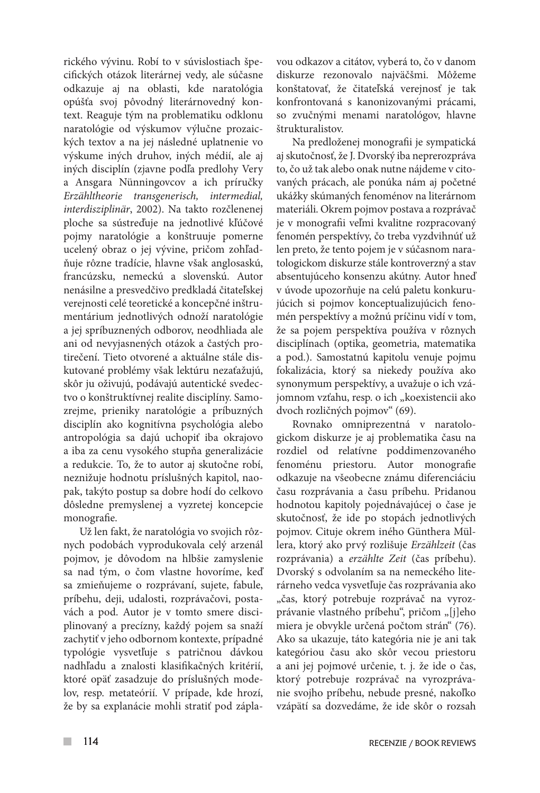rického vývinu. Robí to v súvislostiach špecifických otázok literárnej vedy, ale súčasne odkazuje aj na oblasti, kde naratológia opúšťa svoj pôvodný literárnovedný kontext. Reaguje tým na problematiku odklonu naratológie od výskumov výlučne prozaických textov a na jej následné uplatnenie vo výskume iných druhov, iných médií, ale aj iných disciplín (zjavne podľa predlohy Very a Ansgara Nünningovcov a ich príručky *Erzähltheorie transgenerisch, intermedial, interdisziplinär*, 2002). Na takto rozčlenenej ploche sa sústreďuje na jednotlivé kľúčové pojmy naratológie a konštruuje pomerne ucelený obraz o jej vývine, pričom zohľadňuje rôzne tradície, hlavne však anglosaskú, francúzsku, nemeckú a slovenskú. Autor nenásilne a presvedčivo predkladá čitateľskej verejnosti celé teoretické a koncepčné inštrumentárium jednotlivých odnoží naratológie a jej spríbuznených odborov, neodhliada ale ani od nevyjasnených otázok a častých protirečení. Tieto otvorené a aktuálne stále diskutované problémy však lektúru nezaťažujú, skôr ju oživujú, podávajú autentické svedectvo o konštruktívnej realite disciplíny. Samozrejme, prieniky naratológie a príbuzných disciplín ako kognitívna psychológia alebo antropológia sa dajú uchopiť iba okrajovo a iba za cenu vysokého stupňa generalizácie a redukcie. To, že to autor aj skutočne robí, neznižuje hodnotu príslušných kapitol, naopak, takýto postup sa dobre hodí do celkovo dôsledne premyslenej a vyzretej koncepcie monografie.

Už len fakt, že naratológia vo svojich rôznych podobách vyprodukovala celý arzenál pojmov, je dôvodom na hlbšie zamyslenie sa nad tým, o čom vlastne hovoríme, keď sa zmieňujeme o rozprávaní, sujete, fabule, príbehu, deji, udalosti, rozprávačovi, postavách a pod. Autor je v tomto smere disciplinovaný a precízny, každý pojem sa snaží zachytiť v jeho odbornom kontexte, prípadné typológie vysvetľuje s patričnou dávkou nadhľadu a znalosti klasifikačných kritérií, ktoré opäť zasadzuje do príslušných modelov, resp. metateórií. V prípade, kde hrozí, že by sa explanácie mohli stratiť pod záplavou odkazov a citátov, vyberá to, čo v danom diskurze rezonovalo najväčšmi. Môžeme konštatovať, že čitateľská verejnosť je tak konfrontovaná s kanonizovanými prácami, so zvučnými menami naratológov, hlavne štrukturalistov.

Na predloženej monografii je sympatická aj skutočnosť, že J. Dvorský iba neprerozpráva to, čo už tak alebo onak nutne nájdeme v citovaných prácach, ale ponúka nám aj početné ukážky skúmaných fenoménov na literárnom materiáli. Okrem pojmov postava a rozprávač je v monografii veľmi kvalitne rozpracovaný fenomén perspektívy, čo treba vyzdvihnúť už len preto, že tento pojem je v súčasnom naratologickom diskurze stále kontroverzný a stav absentujúceho konsenzu akútny. Autor hneď v úvode upozorňuje na celú paletu konkurujúcich si pojmov konceptualizujúcich fenomén perspektívy a možnú príčinu vidí v tom, že sa pojem perspektíva používa v rôznych disciplínach (optika, geometria, matematika a pod.). Samostatnú kapitolu venuje pojmu fokalizácia, ktorý sa niekedy používa ako synonymum perspektívy, a uvažuje o ich vzájomnom vzťahu, resp. o ich "koexistencii ako dvoch rozličných pojmov" (69).

Rovnako omniprezentná v naratologickom diskurze je aj problematika času na rozdiel od relatívne poddimenzovaného fenoménu priestoru. Autor monografie odkazuje na všeobecne známu diferenciáciu času rozprávania a času príbehu. Pridanou hodnotou kapitoly pojednávajúcej o čase je skutočnosť, že ide po stopách jednotlivých pojmov. Cituje okrem iného Günthera Müllera, ktorý ako prvý rozlišuje *Erzählzeit* (čas rozprávania) a *erzählte Zeit* (čas príbehu). Dvorský s odvolaním sa na nemeckého literárneho vedca vysvetľuje čas rozprávania ako "čas, ktorý potrebuje rozprávač na vyrozprávanie vlastného príbehu", pričom "[j]eho miera je obvykle určená počtom strán" (76). Ako sa ukazuje, táto kategória nie je ani tak kategóriou času ako skôr vecou priestoru a ani jej pojmové určenie, t. j. že ide o čas, ktorý potrebuje rozprávač na vyrozprávanie svojho príbehu, nebude presné, nakoľko vzápätí sa dozvedáme, že ide skôr o rozsah